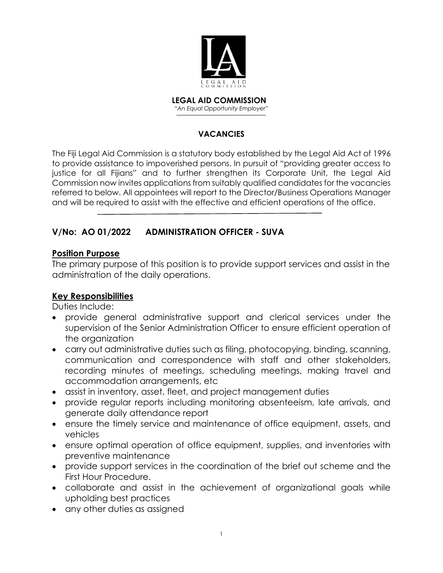

 **LEGAL AID COMMISSION** *"An Equal Opportunity Employer"*

#### **VACANCIES**

The Fiji Legal Aid Commission is a statutory body established by the Legal Aid Act of 1996 to provide assistance to impoverished persons. In pursuit of "providing greater access to justice for all Fijians" and to further strengthen its Corporate Unit, the Legal Aid Commission now invites applications from suitably qualified candidates for the vacancies referred to below. All appointees will report to the Director/Business Operations Manager and will be required to assist with the effective and efficient operations of the office.

# **V/No: AO 01/2022 ADMINISTRATION OFFICER - SUVA**

### **Position Purpose**

The primary purpose of this position is to provide support services and assist in the administration of the daily operations.

### **Key Responsibilities**

Duties Include:

- provide general administrative support and clerical services under the supervision of the Senior Administration Officer to ensure efficient operation of the organization
- carry out administrative duties such as filing, photocopying, binding, scanning, communication and correspondence with staff and other stakeholders, recording minutes of meetings, scheduling meetings, making travel and accommodation arrangements, etc
- assist in inventory, asset, fleet, and project management duties
- provide regular reports including monitoring absenteeism, late arrivals, and generate daily attendance report
- ensure the timely service and maintenance of office equipment, assets, and vehicles
- ensure optimal operation of office equipment, supplies, and inventories with preventive maintenance
- provide support services in the coordination of the brief out scheme and the First Hour Procedure.
- collaborate and assist in the achievement of organizational goals while upholding best practices
- any other duties as assigned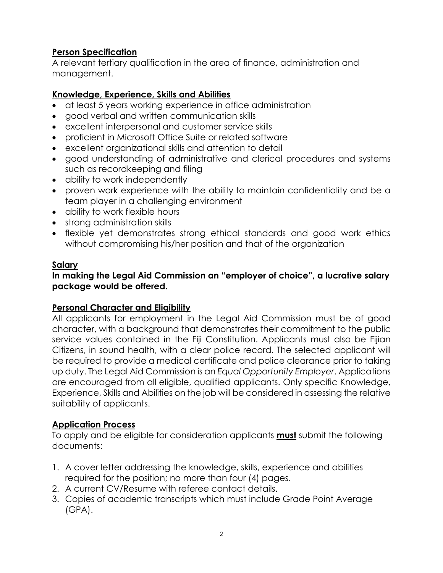# **Person Specification**

A relevant tertiary qualification in the area of finance, administration and management.

### **Knowledge, Experience, Skills and Abilities**

- at least 5 years working experience in office administration
- good verbal and written communication skills
- excellent interpersonal and customer service skills
- proficient in Microsoft Office Suite or related software
- excellent organizational skills and attention to detail
- good understanding of administrative and clerical procedures and systems such as recordkeeping and filing
- ability to work independently
- proven work experience with the ability to maintain confidentiality and be a team player in a challenging environment
- ability to work flexible hours
- strong administration skills
- flexible yet demonstrates strong ethical standards and good work ethics without compromising his/her position and that of the organization

### **Salary**

### **In making the Legal Aid Commission an "employer of choice", a lucrative salary package would be offered.**

### **Personal Character and Eligibility**

All applicants for employment in the Legal Aid Commission must be of good character, with a background that demonstrates their commitment to the public service values contained in the Fiji Constitution. Applicants must also be Fijian Citizens, in sound health, with a clear police record. The selected applicant will be required to provide a medical certificate and police clearance prior to taking up duty. The Legal Aid Commission is an *Equal Opportunity Employer*. Applications are encouraged from all eligible, qualified applicants. Only specific Knowledge, Experience, Skills and Abilities on the job will be considered in assessing the relative suitability of applicants.

### **Application Process**

To apply and be eligible for consideration applicants **must** submit the following documents:

- 1. A cover letter addressing the knowledge, skills, experience and abilities required for the position; no more than four (4) pages.
- 2. A current CV/Resume with referee contact details.
- 3. Copies of academic transcripts which must include Grade Point Average (GPA).